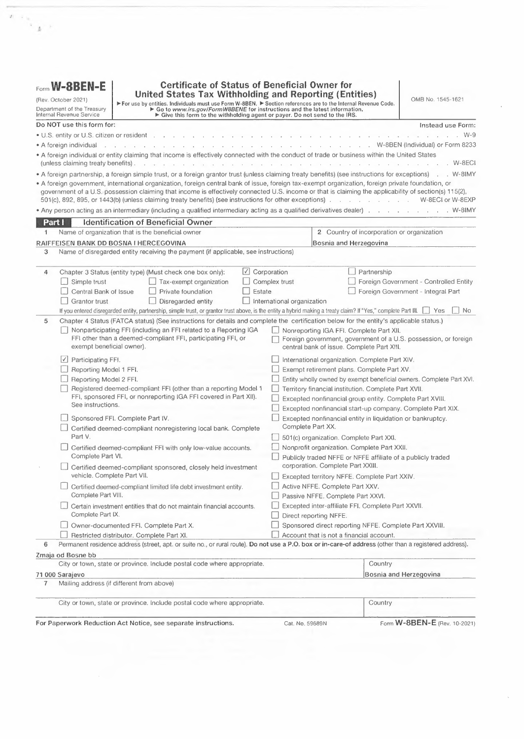|        | Internal Revenue Service                                          | For use by entities. Individuals must use Form W-8BEN. For section references are to the Internal Revenue Code.<br>For to www.irs.gov/FormW8BENE for instructions and the latest information.<br>Give this form to the withholding agent or payer. Do not send to the IRS.                                                                                                                                                                                                                                                                                                |                                                                                                                        |                                                            | <b>United States Tax Withholding and Reporting (Entities)</b>                                              |             | OMB No. 1545-1621                                                                  |
|--------|-------------------------------------------------------------------|---------------------------------------------------------------------------------------------------------------------------------------------------------------------------------------------------------------------------------------------------------------------------------------------------------------------------------------------------------------------------------------------------------------------------------------------------------------------------------------------------------------------------------------------------------------------------|------------------------------------------------------------------------------------------------------------------------|------------------------------------------------------------|------------------------------------------------------------------------------------------------------------|-------------|------------------------------------------------------------------------------------|
|        | Do NOT use this form for:                                         |                                                                                                                                                                                                                                                                                                                                                                                                                                                                                                                                                                           |                                                                                                                        |                                                            |                                                                                                            |             | Instead use Form:                                                                  |
|        | • U.S. entity or U.S. citizen or resident                         |                                                                                                                                                                                                                                                                                                                                                                                                                                                                                                                                                                           |                                                                                                                        |                                                            |                                                                                                            |             | $W-9$                                                                              |
|        | • A foreign individual                                            |                                                                                                                                                                                                                                                                                                                                                                                                                                                                                                                                                                           |                                                                                                                        |                                                            |                                                                                                            |             | . W-8BEN (Individual) or Form 8233                                                 |
|        | (unless claiming treaty benefits).                                | . A foreign individual or entity claiming that income is effectively connected with the conduct of trade or business within the United States                                                                                                                                                                                                                                                                                                                                                                                                                             |                                                                                                                        |                                                            |                                                                                                            |             | W-8ECI                                                                             |
|        |                                                                   | • A foreign partnership, a foreign simple trust, or a foreign grantor trust (unless claiming treaty benefits) (see instructions for exceptions)<br>• A foreign government, international organization, foreign central bank of issue, foreign tax-exempt organization, foreign private foundation, or<br>government of a U.S. possession claiming that income is effectively connected U.S. income or that is claiming the applicability of section(s) 115(2),<br>501(c), 892, 895, or 1443(b) (unless claiming treaty benefits) (see instructions for other exceptions). |                                                                                                                        |                                                            |                                                                                                            |             | $W-81MY$<br>W-8ECI or W-8EXP                                                       |
|        |                                                                   | • Any person acting as an intermediary (including a qualified intermediary acting as a qualified derivatives dealer).                                                                                                                                                                                                                                                                                                                                                                                                                                                     |                                                                                                                        |                                                            |                                                                                                            |             | $\ldots$ $W-81MY$                                                                  |
| Part I |                                                                   | <b>Identification of Beneficial Owner</b>                                                                                                                                                                                                                                                                                                                                                                                                                                                                                                                                 |                                                                                                                        |                                                            |                                                                                                            |             |                                                                                    |
| 1      |                                                                   | Name of organization that is the beneficial owner                                                                                                                                                                                                                                                                                                                                                                                                                                                                                                                         |                                                                                                                        |                                                            | 2 Country of incorporation or organization                                                                 |             |                                                                                    |
|        |                                                                   | RAIFFEISEN BANK DD BOSNA I HERCEGOVINA                                                                                                                                                                                                                                                                                                                                                                                                                                                                                                                                    |                                                                                                                        |                                                            | Bosnia and Herzegovina                                                                                     |             |                                                                                    |
| 3      |                                                                   | Name of disregarded entity receiving the payment (if applicable, see instructions)                                                                                                                                                                                                                                                                                                                                                                                                                                                                                        |                                                                                                                        |                                                            |                                                                                                            |             |                                                                                    |
| 4      | Simple trust<br>Central Bank of Issue<br>Grantor trust            | Chapter 3 Status (entity type) (Must check one box only):<br>Tax-exempt organization<br>Private foundation<br>Disregarded entity<br>If you entered disregarded entity, partnership, simple trust, or grantor trust above, is the entity a hybrid making a treaty claim? If "Yes," complete Part III.                                                                                                                                                                                                                                                                      | $\cup$ Corporation<br>Estate                                                                                           | Complex trust<br>International organization                |                                                                                                            | Partnership | Foreign Government - Controlled Entity<br>Foreign Government - Integral Part<br>No |
| 5      |                                                                   | Chapter 4 Status (FATCA status) (See instructions for details and complete the certification below for the entity's applicable status.)                                                                                                                                                                                                                                                                                                                                                                                                                                   |                                                                                                                        |                                                            |                                                                                                            |             |                                                                                    |
|        | exempt beneficial owner).                                         | Nonparticipating FFI (including an FFI related to a Reporting IGA<br>FFI other than a deemed-compliant FFI, participating FFI, or                                                                                                                                                                                                                                                                                                                                                                                                                                         |                                                                                                                        |                                                            | Nonreporting IGA FFI. Complete Part XII.<br>central bank of issue. Complete Part XIII.                     |             | Foreign government, government of a U.S. possession, or foreign                    |
|        | $\vee$ Participating FFI.<br>Reporting Model 1 FFI.               |                                                                                                                                                                                                                                                                                                                                                                                                                                                                                                                                                                           |                                                                                                                        | International organization. Complete Part XIV.             |                                                                                                            |             |                                                                                    |
|        |                                                                   |                                                                                                                                                                                                                                                                                                                                                                                                                                                                                                                                                                           | Exempt retirement plans. Complete Part XV.                                                                             |                                                            |                                                                                                            |             |                                                                                    |
|        |                                                                   | Reporting Model 2 FFI.                                                                                                                                                                                                                                                                                                                                                                                                                                                                                                                                                    |                                                                                                                        |                                                            | Entity wholly owned by exempt beneficial owners. Complete Part XVI.                                        |             |                                                                                    |
|        |                                                                   | Registered deemed-compliant FFI (other than a reporting Model 1                                                                                                                                                                                                                                                                                                                                                                                                                                                                                                           |                                                                                                                        | Territory financial institution. Complete Part XVII.       |                                                                                                            |             |                                                                                    |
|        | FFI, sponsored FFI, or nonreporting IGA FFI covered in Part XII). |                                                                                                                                                                                                                                                                                                                                                                                                                                                                                                                                                                           | Excepted nonfinancial group entity. Complete Part XVIII.<br>Excepted nonfinancial start-up company. Complete Part XIX. |                                                            |                                                                                                            |             |                                                                                    |
|        | See instructions.                                                 |                                                                                                                                                                                                                                                                                                                                                                                                                                                                                                                                                                           |                                                                                                                        |                                                            |                                                                                                            |             |                                                                                    |
|        |                                                                   | Sponsored FFI. Complete Part IV.                                                                                                                                                                                                                                                                                                                                                                                                                                                                                                                                          |                                                                                                                        | Excepted nonfinancial entity in liquidation or bankruptcy. |                                                                                                            |             |                                                                                    |
|        | Part V.                                                           | Certified deemed-compliant nonregistering local bank. Complete                                                                                                                                                                                                                                                                                                                                                                                                                                                                                                            |                                                                                                                        |                                                            | Complete Part XX.<br>501(c) organization. Complete Part XXI.                                               |             |                                                                                    |
|        | Complete Part VI.                                                 | Certified deemed-compliant FFI with only low-value accounts.                                                                                                                                                                                                                                                                                                                                                                                                                                                                                                              |                                                                                                                        |                                                            | Nonprofit organization. Complete Part XXII.<br>Publicly traded NFFE or NFFE affiliate of a publicly traded |             |                                                                                    |
|        |                                                                   | Certified deemed-compliant sponsored, closely held investment                                                                                                                                                                                                                                                                                                                                                                                                                                                                                                             |                                                                                                                        |                                                            | corporation. Complete Part XXIII.                                                                          |             |                                                                                    |
|        | vehicle. Complete Part VII.                                       |                                                                                                                                                                                                                                                                                                                                                                                                                                                                                                                                                                           |                                                                                                                        |                                                            | Excepted territory NFFE. Complete Part XXIV.                                                               |             |                                                                                    |
|        | Complete Part VIII.                                               | Certified deemed-compliant limited life debt investment entity.                                                                                                                                                                                                                                                                                                                                                                                                                                                                                                           |                                                                                                                        |                                                            | Active NFFE. Complete Part XXV.                                                                            |             |                                                                                    |
|        |                                                                   | Certain investment entities that do not maintain financial accounts.                                                                                                                                                                                                                                                                                                                                                                                                                                                                                                      |                                                                                                                        |                                                            | Passive NFFE. Complete Part XXVI.<br>Excepted inter-affiliate FFI. Complete Part XXVII.                    |             |                                                                                    |
|        | Complete Part IX.                                                 |                                                                                                                                                                                                                                                                                                                                                                                                                                                                                                                                                                           |                                                                                                                        |                                                            | Direct reporting NFFE.                                                                                     |             |                                                                                    |
|        |                                                                   | Owner-documented FFI. Complete Part X.                                                                                                                                                                                                                                                                                                                                                                                                                                                                                                                                    |                                                                                                                        |                                                            | Sponsored direct reporting NFFE. Complete Part XXVIII.                                                     |             |                                                                                    |
|        |                                                                   | Restricted distributor. Complete Part XI.                                                                                                                                                                                                                                                                                                                                                                                                                                                                                                                                 |                                                                                                                        |                                                            | Account that is not a financial account.                                                                   |             |                                                                                    |
| 6      |                                                                   | Permanent residence address (street, apt. or suite no., or rural route). Do not use a P.O. box or in-care-of address (other than a registered address).                                                                                                                                                                                                                                                                                                                                                                                                                   |                                                                                                                        |                                                            |                                                                                                            |             |                                                                                    |
|        | Zmaja od Bosne bb                                                 |                                                                                                                                                                                                                                                                                                                                                                                                                                                                                                                                                                           |                                                                                                                        |                                                            |                                                                                                            |             |                                                                                    |
|        |                                                                   | City or town, state or province. Include postal code where appropriate.                                                                                                                                                                                                                                                                                                                                                                                                                                                                                                   |                                                                                                                        |                                                            |                                                                                                            | Country     |                                                                                    |
|        | 71 000 Sarajevo                                                   |                                                                                                                                                                                                                                                                                                                                                                                                                                                                                                                                                                           |                                                                                                                        |                                                            |                                                                                                            |             | Bosnia and Herzegovina                                                             |
| 7      |                                                                   | Mailing address (if different from above)                                                                                                                                                                                                                                                                                                                                                                                                                                                                                                                                 |                                                                                                                        |                                                            |                                                                                                            |             |                                                                                    |
|        |                                                                   | City or town, state or province. Include postal code where appropriate.                                                                                                                                                                                                                                                                                                                                                                                                                                                                                                   |                                                                                                                        |                                                            |                                                                                                            | Country     |                                                                                    |
|        |                                                                   | For Paperwork Reduction Act Notice, see separate instructions.                                                                                                                                                                                                                                                                                                                                                                                                                                                                                                            |                                                                                                                        | Cat. No. 59689N                                            |                                                                                                            |             | Form W-8BEN-E (Rev. 10-2021)                                                       |

 $\sim$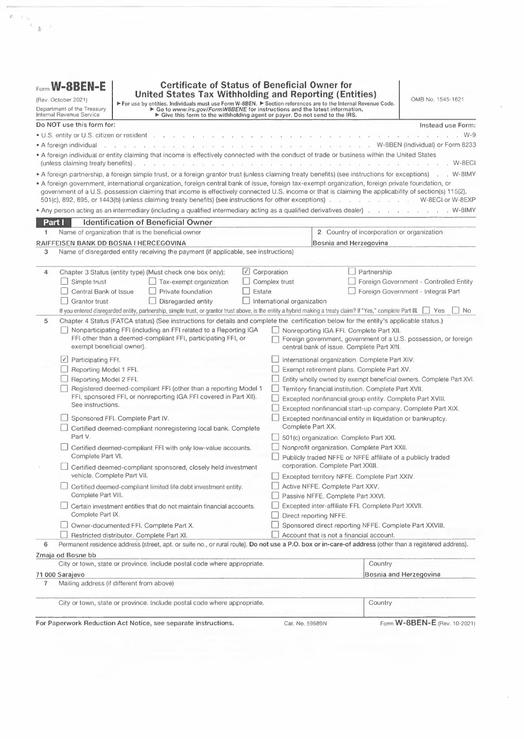|                   | Part I                                                                                                                                                                                                                                                                                                                                                                                                                                   | Identification of Beneficial Owner (continued)                               |                                                                                                                                                                                                                                                                                        |  |  |
|-------------------|------------------------------------------------------------------------------------------------------------------------------------------------------------------------------------------------------------------------------------------------------------------------------------------------------------------------------------------------------------------------------------------------------------------------------------------|------------------------------------------------------------------------------|----------------------------------------------------------------------------------------------------------------------------------------------------------------------------------------------------------------------------------------------------------------------------------------|--|--|
| 8                 | U.S. taxpayer identification number (TIN), if required                                                                                                                                                                                                                                                                                                                                                                                   |                                                                              |                                                                                                                                                                                                                                                                                        |  |  |
| 9a                | GIIN                                                                                                                                                                                                                                                                                                                                                                                                                                     | b Foreign TIN                                                                | c Check if FTIN not legally required.<br>EH                                                                                                                                                                                                                                            |  |  |
| 10                | 28CWN4.00005.ME.070<br>Reference number(s) (see instructions)                                                                                                                                                                                                                                                                                                                                                                            | 4200344670009                                                                |                                                                                                                                                                                                                                                                                        |  |  |
|                   |                                                                                                                                                                                                                                                                                                                                                                                                                                          |                                                                              |                                                                                                                                                                                                                                                                                        |  |  |
|                   | Note: Please complete remainder of the form including signing the form in Part XXX.                                                                                                                                                                                                                                                                                                                                                      |                                                                              |                                                                                                                                                                                                                                                                                        |  |  |
| Part II           |                                                                                                                                                                                                                                                                                                                                                                                                                                          |                                                                              | Disregarded Entity or Branch Receiving Payment. (Complete only if a disregarded entity with a GIIN or a                                                                                                                                                                                |  |  |
|                   |                                                                                                                                                                                                                                                                                                                                                                                                                                          |                                                                              | branch of an FFI in a country other than the FFI's country of residence. See instructions.)                                                                                                                                                                                            |  |  |
| 11                | Chapter 4 Status (FATCA status) of disregarded entity or branch receiving payment                                                                                                                                                                                                                                                                                                                                                        |                                                                              |                                                                                                                                                                                                                                                                                        |  |  |
|                   | Branch treated as nonparticipating FFI.                                                                                                                                                                                                                                                                                                                                                                                                  | Reporting Model 1 FFI.                                                       | U.S. Branch.                                                                                                                                                                                                                                                                           |  |  |
|                   | Participating FFI.                                                                                                                                                                                                                                                                                                                                                                                                                       | Reporting Model 2 FFI.                                                       |                                                                                                                                                                                                                                                                                        |  |  |
| $12 \overline{ }$ | registered address).                                                                                                                                                                                                                                                                                                                                                                                                                     |                                                                              | Address of disregarded entity or branch (street, apt. or suite no., or rural route). Do not use a P.O. box or in-care-of address (other than a                                                                                                                                         |  |  |
|                   |                                                                                                                                                                                                                                                                                                                                                                                                                                          |                                                                              |                                                                                                                                                                                                                                                                                        |  |  |
|                   | City or town, state or province. Include postal code where appropriate.                                                                                                                                                                                                                                                                                                                                                                  |                                                                              |                                                                                                                                                                                                                                                                                        |  |  |
|                   | Country                                                                                                                                                                                                                                                                                                                                                                                                                                  |                                                                              |                                                                                                                                                                                                                                                                                        |  |  |
| 13                | GIIN (if any)                                                                                                                                                                                                                                                                                                                                                                                                                            |                                                                              |                                                                                                                                                                                                                                                                                        |  |  |
| Part III          |                                                                                                                                                                                                                                                                                                                                                                                                                                          | Claim of Tax Treaty Benefits (if applicable). (For chapter 3 purposes only.) |                                                                                                                                                                                                                                                                                        |  |  |
| 14                | I certify that (check all that apply):                                                                                                                                                                                                                                                                                                                                                                                                   |                                                                              |                                                                                                                                                                                                                                                                                        |  |  |
| a                 | $\Box$ The beneficial owner is a resident of                                                                                                                                                                                                                                                                                                                                                                                             |                                                                              | within the meaning of the income tax                                                                                                                                                                                                                                                   |  |  |
|                   | treaty between the United States and that country.                                                                                                                                                                                                                                                                                                                                                                                       |                                                                              |                                                                                                                                                                                                                                                                                        |  |  |
| b                 | be included in an applicable tax treaty (check only one; see instructions):                                                                                                                                                                                                                                                                                                                                                              |                                                                              | The beneficial owner derives the item (or items) of income for which the treaty benefits are claimed, and, if applicable, meets the<br>requirements of the treaty provision dealing with limitation on benefits. The following are types of limitation on benefits provisions that may |  |  |
|                   | Government                                                                                                                                                                                                                                                                                                                                                                                                                               |                                                                              | Company that meets the ownership and base erosion test                                                                                                                                                                                                                                 |  |  |
|                   | Tax-exempt pension trust or pension fund                                                                                                                                                                                                                                                                                                                                                                                                 |                                                                              | Company that meets the derivative benefits test                                                                                                                                                                                                                                        |  |  |
|                   | Other tax-exempt organization                                                                                                                                                                                                                                                                                                                                                                                                            |                                                                              | Company with an item of income that meets active trade or business test                                                                                                                                                                                                                |  |  |
|                   | Publicly traded corporation<br>Subsidiary of a publicly traded corporation                                                                                                                                                                                                                                                                                                                                                               | No LOB article in treaty                                                     | Favorable discretionary determination by the U.S. competent authority received                                                                                                                                                                                                         |  |  |
|                   |                                                                                                                                                                                                                                                                                                                                                                                                                                          |                                                                              | Other (specify Article and paragraph):                                                                                                                                                                                                                                                 |  |  |
| $\mathbf{C}$      | The beneficial owner is claiming treaty benefits for U.S. source dividends received from a foreign corporation or interest from a U.S. trade<br>or business of a foreign corporation and meets qualified resident status (see instructions).                                                                                                                                                                                             |                                                                              |                                                                                                                                                                                                                                                                                        |  |  |
|                   | Special rates and conditions (if applicable-see instructions):                                                                                                                                                                                                                                                                                                                                                                           |                                                                              |                                                                                                                                                                                                                                                                                        |  |  |
|                   | The beneficial owner is claiming the provisions of Article and paragraph                                                                                                                                                                                                                                                                                                                                                                 |                                                                              |                                                                                                                                                                                                                                                                                        |  |  |
|                   | of the treaty identified on line 14a above to claim a                                                                                                                                                                                                                                                                                                                                                                                    |                                                                              | % rate of withholding on (specify type of income):                                                                                                                                                                                                                                     |  |  |
|                   | Explain the additional conditions in the Article the beneficial owner meets to be eligible for the rate of withholding:                                                                                                                                                                                                                                                                                                                  |                                                                              |                                                                                                                                                                                                                                                                                        |  |  |
|                   |                                                                                                                                                                                                                                                                                                                                                                                                                                          |                                                                              |                                                                                                                                                                                                                                                                                        |  |  |
| <b>Part IV</b>    | <b>Sponsored FFI</b>                                                                                                                                                                                                                                                                                                                                                                                                                     |                                                                              |                                                                                                                                                                                                                                                                                        |  |  |
| 16                | Name of sponsoring entity:                                                                                                                                                                                                                                                                                                                                                                                                               |                                                                              |                                                                                                                                                                                                                                                                                        |  |  |
| 17                | Check whichever box applies.                                                                                                                                                                                                                                                                                                                                                                                                             |                                                                              |                                                                                                                                                                                                                                                                                        |  |  |
|                   | I certify that the entity identified in Part I:                                                                                                                                                                                                                                                                                                                                                                                          |                                                                              |                                                                                                                                                                                                                                                                                        |  |  |
|                   | • Is an investment entity;                                                                                                                                                                                                                                                                                                                                                                                                               |                                                                              |                                                                                                                                                                                                                                                                                        |  |  |
|                   | . Is not a QI, WP (except to the extent permitted in the withholding foreign partnership agreement), or WT; and                                                                                                                                                                                                                                                                                                                          |                                                                              |                                                                                                                                                                                                                                                                                        |  |  |
|                   | • Has agreed with the entity identified above (that is not a nonparticipating FFI) to act as the sponsoring entity for this entity.<br>$\Box$ I certify that the entity identified in Part I:                                                                                                                                                                                                                                            |                                                                              |                                                                                                                                                                                                                                                                                        |  |  |
|                   | • Is a controlled foreign corporation as defined in section 957(a);                                                                                                                                                                                                                                                                                                                                                                      |                                                                              |                                                                                                                                                                                                                                                                                        |  |  |
|                   | • Is not a QI, WP, or WT;                                                                                                                                                                                                                                                                                                                                                                                                                |                                                                              |                                                                                                                                                                                                                                                                                        |  |  |
|                   |                                                                                                                                                                                                                                                                                                                                                                                                                                          |                                                                              | . Is wholly owned, directly or indirectly, by the U.S. financial institution identified above that agrees to act as the sponsoring entity for this entity; and                                                                                                                         |  |  |
|                   | . Shares a common electronic account system with the sponsoring entity (identified above) that enables the sponsoring entity to identify all<br>account holders and payees of the entity and to access all account and customer information maintained by the entity including, but not limited<br>to, customer identification information, customer documentation, account balance, and all payments made to account holders or payees. |                                                                              |                                                                                                                                                                                                                                                                                        |  |  |
|                   |                                                                                                                                                                                                                                                                                                                                                                                                                                          |                                                                              |                                                                                                                                                                                                                                                                                        |  |  |

 $\label{eq:2.1} \mathbb{E}\left[\frac{1}{\Phi}\right]^{1/2}$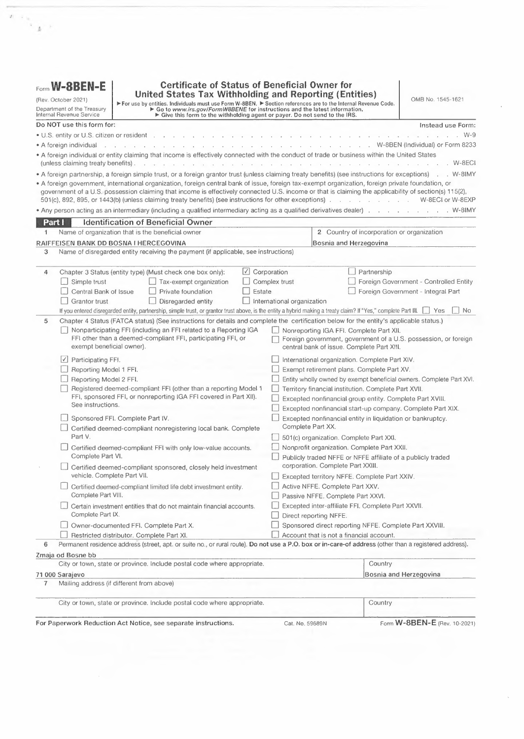|          | Form W-8BEN-E (Rev. 10-2021)                                                                                                                                                                                                                                                                                                                                                                                           | Page 3 |
|----------|------------------------------------------------------------------------------------------------------------------------------------------------------------------------------------------------------------------------------------------------------------------------------------------------------------------------------------------------------------------------------------------------------------------------|--------|
|          | <b>Certified Deemed-Compliant Nonregistering Local Bank</b><br><b>Part V</b><br>I certify that the FFI identified in Part I:                                                                                                                                                                                                                                                                                           |        |
| 18       |                                                                                                                                                                                                                                                                                                                                                                                                                        |        |
|          | • Operates and is licensed solely as a bank or credit union (or similar cooperative credit organization operated without profit) in its country of<br>incorporation or organization;                                                                                                                                                                                                                                   |        |
|          | • Engages primarily in the business of receiving deposits from and making loans to, with respect to a bank, retail customers unrelated to such<br>bank and, with respect to a credit union or similar cooperative credit organization, members, provided that no member has a greater than 5%<br>interest in such credit union or cooperative credit organization;                                                     |        |
|          | . Does not solicit account holders outside its country of organization;                                                                                                                                                                                                                                                                                                                                                |        |
|          | . Has no fixed place of business outside such country (for this purpose, a fixed place of business does not include a location that is not<br>advertised to the public and from which the FFI performs solely administrative support functions);                                                                                                                                                                       |        |
|          | • Has no more than \$175 million in assets on its balance sheet and, if it is a member of an expanded affiliated group, the group has no more<br>than \$500 million in total assets on its consolidated or combined balance sheets; and                                                                                                                                                                                |        |
|          | • Does not have any member of its expanded affiliated group that is a foreign financial institution, other than a foreign financial institution that<br>is incorporated or organized in the same country as the FFI identified in Part I and that meets the requirements set forth in this part.                                                                                                                       |        |
| Part VI  | Certified Deemed-Compliant FFI with Only Low-Value Accounts                                                                                                                                                                                                                                                                                                                                                            |        |
| 19       | $\Box$ I certify that the FFI identified in Part I:                                                                                                                                                                                                                                                                                                                                                                    |        |
|          | · Is not engaged primarily in the business of investing, reinvesting, or trading in securities, partnership interests, commodities, notional<br>principal contracts, insurance or annuity contracts, or any interest (including a futures or forward contract or option) in such security,<br>partnership interest, commodity, notional principal contract, insurance contract or annuity contract;                    |        |
|          | . No financial account maintained by the FFI or any member of its expanded affiliated group, if any, has a balance or value in excess of<br>\$50,000 (as determined after applying applicable account aggregation rules); and                                                                                                                                                                                          |        |
|          | . Neither the FFI nor the entire expanded affiliated group, if any, of the FFI, have more than \$50 million in assets on its consolidated or<br>combined balance sheet as of the end of its most recent accounting year.                                                                                                                                                                                               |        |
| Part VII | Certified Deemed-Compliant Sponsored, Closely Held Investment Vehicle                                                                                                                                                                                                                                                                                                                                                  |        |
| 20       | Name of sponsoring entity:                                                                                                                                                                                                                                                                                                                                                                                             |        |
| 21       | $\Box$ I certify that the entity identified in Part I:                                                                                                                                                                                                                                                                                                                                                                 |        |
|          | • Is an FFI solely because it is an investment entity described in Regulations section 1.1471-5(e)(4);                                                                                                                                                                                                                                                                                                                 |        |
|          | • Is not a QI, WP, or WT;                                                                                                                                                                                                                                                                                                                                                                                              |        |
|          | . Will have all of its due diligence, withholding, and reporting responsibilities (determined as if the FFI were a participating FFI) fulfilled by the<br>sponsoring entity identified on line 20; and                                                                                                                                                                                                                 |        |
|          | • 20 or fewer individuals own all of the debt and equity interests in the entity (disregarding debt interests owned by U.S. financial institutions,<br>participating FFIs, registered deemed-compliant FFIs, and certified deemed-compliant FFIs and equity interests owned by an entity if that<br>entity owns 100% of the equity interests in the FFI and is itself a sponsored FFI).                                |        |
|          | <b>Part VIII</b><br><b>Certified Deemed-Compliant Limited Life Debt Investment Entity</b>                                                                                                                                                                                                                                                                                                                              |        |
| 22       | $\Box$ I certify that the entity identified in Part I:                                                                                                                                                                                                                                                                                                                                                                 |        |
|          | . Was in existence as of January 17, 2013;                                                                                                                                                                                                                                                                                                                                                                             |        |
|          | • Issued all classes of its debt or equity interests to investors on or before January 17, 2013, pursuant to a trust indenture or similar agreement; and<br>• Is certified deemed-compliant because it satisfies the requirements to be treated as a limited life debt investment entity (such as the<br>restrictions with respect to its assets and other requirements under Regulations section 1.1471-5(f)(2)(iv)). |        |
|          | Part IX<br>Certain Investment Entities that Do Not Maintain Financial Accounts                                                                                                                                                                                                                                                                                                                                         |        |
| 23       | $\Box$ I certify that the entity identified in Part I:                                                                                                                                                                                                                                                                                                                                                                 |        |
|          | · Is a financial institution solely because it is an investment entity described in Regulations section 1.1471-5(e)(4)(i)(A), and                                                                                                                                                                                                                                                                                      |        |
|          | • Does not maintain financial accounts.                                                                                                                                                                                                                                                                                                                                                                                |        |
| Part X   | <b>Owner-Documented FFI</b>                                                                                                                                                                                                                                                                                                                                                                                            |        |
|          | Note: This status only applies if the U.S. financial institution, participating FFI, or reporting Model 1 FFI to which this form is given has agreed that it will<br>treat the FFI as an owner-documented FFI (see instructions for eligibility requirements). In addition, the FFI must make the certifications below.                                                                                                |        |
| 24a      | (All owner-documented FFIs check here) I certify that the FFI identified in Part I:                                                                                                                                                                                                                                                                                                                                    |        |
|          | · Does not act as an intermediary;                                                                                                                                                                                                                                                                                                                                                                                     |        |
|          | . Does not accept deposits in the ordinary course of a banking or similar business;                                                                                                                                                                                                                                                                                                                                    |        |
|          | . Does not hold, as a substantial portion of its business, financial assets for the account of others;                                                                                                                                                                                                                                                                                                                 |        |
|          | • Is not an insurance company (or the holding company of an insurance company) that issues or is obligated to make payments with respect to<br>a financial account;                                                                                                                                                                                                                                                    |        |
|          | • Is not owned by or in an expanded affiliated group with an entity that accepts deposits in the ordinary course of a banking or similar<br>business, holds, as a substantial portion of its business, financial assets for the account of others, or is an insurance company (or the holding<br>company of an insurance company) that issues or is obligated to make payments with respect to a financial account;    |        |

• Does not maintain <sup>a</sup> financial account for any nonparticipating FFI; and

 $\sim$   $\alpha$  $\bar{I}$ 

 $\mathcal{A}=\mathcal{I}$ 

• Does not have any specified U.S. persons that own an equity interest or debt interest (other than <sup>a</sup> debt interest that is not <sup>a</sup> financial account or that has <sup>a</sup> balance or value not exceeding \$50,000) in the FFI other than those identified on the FFI owner reporting statement.

For**W-8BEN-E** (Rev. 10-2021)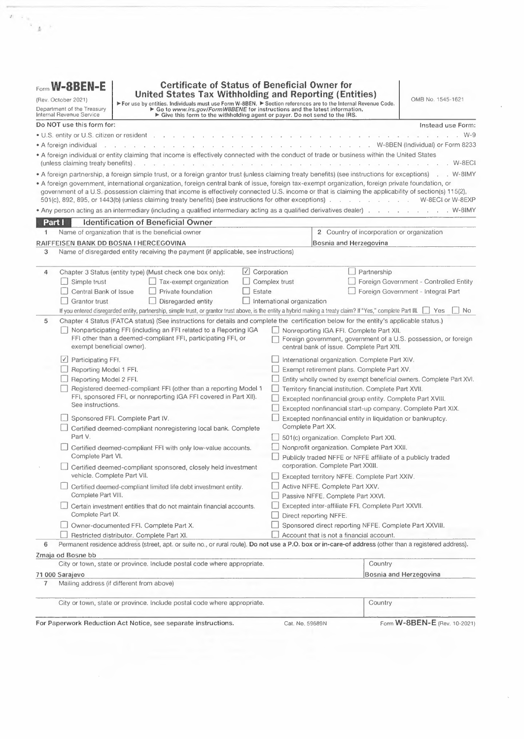|         | Form W-8BEN-E (Rev. 10-2021)                                                                                                                                                                                                                                                                                                                                                                                                                                                                                                                                                                                                                                                                                                | Page 4 |
|---------|-----------------------------------------------------------------------------------------------------------------------------------------------------------------------------------------------------------------------------------------------------------------------------------------------------------------------------------------------------------------------------------------------------------------------------------------------------------------------------------------------------------------------------------------------------------------------------------------------------------------------------------------------------------------------------------------------------------------------------|--------|
| Part X  | <b>Owner-Documented FFI (continued)</b>                                                                                                                                                                                                                                                                                                                                                                                                                                                                                                                                                                                                                                                                                     |        |
|         | Check box 24b or 24c, whichever applies.                                                                                                                                                                                                                                                                                                                                                                                                                                                                                                                                                                                                                                                                                    |        |
| b       | $\Box$ I certify that the FFI identified in Part I:                                                                                                                                                                                                                                                                                                                                                                                                                                                                                                                                                                                                                                                                         |        |
|         | . Has provided, or will provide, an FFI owner reporting statement that contains:                                                                                                                                                                                                                                                                                                                                                                                                                                                                                                                                                                                                                                            |        |
|         | (i) The name, address, TIN (if any), chapter 4 status, and type of documentation provided (if required) of every individual and specified<br>U.S. person that owns a direct or indirect equity interest in the owner-documented FFI (looking through all entities other than specified<br>U.S. persons);                                                                                                                                                                                                                                                                                                                                                                                                                    |        |
|         | (ii) The name, address, TIN (if any), and chapter 4 status of every individual and specified U.S. person that owns a debt interest in the<br>owner-documented FFI (including any indirect debt interest, which includes debt interests in any entity that directly or indirectly owns<br>the payee or any direct or indirect equity interest in a debt holder of the payee) that constitutes a financial account in excess of<br>\$50,000 (disregarding all such debt interests owned by participating FFIs, registered deemed-compliant FFIs, certified deemed-<br>compliant FFIs, excepted NFFEs, exempt beneficial owners, or U.S. persons other than specified U.S. persons); and                                       |        |
|         | (iii) Any additional information the withholding agent requests in order to fulfill its obligations with respect to the entity.                                                                                                                                                                                                                                                                                                                                                                                                                                                                                                                                                                                             |        |
|         | • Has provided, or will provide, valid documentation meeting the requirements of Regulations section 1.1471-3(d)(6)(iii) for each person<br>identified in the FFI owner reporting statement.                                                                                                                                                                                                                                                                                                                                                                                                                                                                                                                                |        |
| c       | I certify that the FFI identified in Part I has provided, or will provide, an auditor's letter, signed within 4 years of the date of payment,<br>from an independent accounting firm or legal representative with a location in the United States stating that the firm or representative has<br>reviewed the FFI's documentation with respect to all of its owners and debt holders identified in Regulations section 1.1471-3(d)(6)(iv)(A)(2),<br>and that the FFI meets all the requirements to be an owner-documented FFI. The FFI identified in Part I has also provided, or will provide,<br>an FFI owner reporting statement of its owners that are specified U.S. persons and Form(s) W-9, with applicable waivers. |        |
|         | Check box 24d if applicable (optional, see instructions).                                                                                                                                                                                                                                                                                                                                                                                                                                                                                                                                                                                                                                                                   |        |
| d       | I certify that the entity identified on line 1 is a trust that does not have any contingent beneficiaries or designated classes with unidentified<br>beneficiaries.                                                                                                                                                                                                                                                                                                                                                                                                                                                                                                                                                         |        |
| Part XI | <b>Restricted Distributor</b>                                                                                                                                                                                                                                                                                                                                                                                                                                                                                                                                                                                                                                                                                               |        |
| 25a     | $\Box$ (All restricted distributors check here) I certify that the entity identified in Part I:                                                                                                                                                                                                                                                                                                                                                                                                                                                                                                                                                                                                                             |        |
|         | . Operates as a distributor with respect to debt or equity interests of the restricted fund with respect to which this form is furnished;                                                                                                                                                                                                                                                                                                                                                                                                                                                                                                                                                                                   |        |
|         | . Provides investment services to at least 30 customers unrelated to each other and less than half of its customers are related to each other;                                                                                                                                                                                                                                                                                                                                                                                                                                                                                                                                                                              |        |
|         | • Is required to perform AML due diligence procedures under the anti-money laundering laws of its country of organization (which is an FATF-<br>compliant jurisdiction);                                                                                                                                                                                                                                                                                                                                                                                                                                                                                                                                                    |        |
|         | . Operates solely in its country of incorporation or organization, has no fixed place of business outside of that country, and has the same<br>country of incorporation or organization as all members of its affiliated group, if any;                                                                                                                                                                                                                                                                                                                                                                                                                                                                                     |        |
|         | . Does not solicit customers outside its country of incorporation or organization;                                                                                                                                                                                                                                                                                                                                                                                                                                                                                                                                                                                                                                          |        |
|         | . Has no more than \$175 million in total assets under management and no more than \$7 million in gross revenue on its income statement for<br>the most recent accounting year;                                                                                                                                                                                                                                                                                                                                                                                                                                                                                                                                             |        |
|         | • Is not a member of an expanded affiliated group that has more than \$500 million in total assets under management or more than \$20 million<br>in gross revenue for its most recent accounting year on a combined or consolidated income statement; and                                                                                                                                                                                                                                                                                                                                                                                                                                                                   |        |
|         | . Does not distribute any debt or securities of the restricted fund to specified U.S. persons, passive NFFEs with one or more substantial U.S.<br>owners, or nonparticipating FFIs.                                                                                                                                                                                                                                                                                                                                                                                                                                                                                                                                         |        |
|         | Check box 25b or 25c, whichever applies.                                                                                                                                                                                                                                                                                                                                                                                                                                                                                                                                                                                                                                                                                    |        |
|         | I further certify that with respect to all sales of debt or equity interests in the restricted fund with respect to which this form is furnished that are made<br>after December 31, 2011, the entity identified in Part I:                                                                                                                                                                                                                                                                                                                                                                                                                                                                                                 |        |
| b       | Has been bound by a distribution agreement that contained a general prohibition on the sale of debt or securities to U.S. entities and U.S.<br>resident individuals and is currently bound by a distribution agreement that contains a prohibition of the sale of debt or securities to any<br>specified U.S. person, passive NFFE with one or more substantial U.S. owners, or nonparticipating FFI.                                                                                                                                                                                                                                                                                                                       |        |

<sup>c</sup> O Is currently bound by <sup>a</sup> distribution agreement that contains <sup>a</sup> prohibition on the sale of debt or securities to any specified U.S. person, passive NFFE with one or more substantial U.S. owners, or nonparticipating FFI and, for all sales made prior to the time that such <sup>a</sup> restriction was included in its distribution agreement, has reviewed all accounts related to such sales in accordance with the procedures identified in Regulations section 1,1471-4(c) applicable to preexisting accounts and has redeemed or retired any, or caused the restricted fund to transfer the securities to <sup>a</sup> distributor that is <sup>a</sup> participating FFI or reporting Model <sup>1</sup> FFI securities which were sold to specified U.S. persons, passive NFFEs with one or more substantial U.S. owners, or nonparticipating FFls.

Form **W-8BEN-E** (Rev. 10-2021)

 $\Lambda$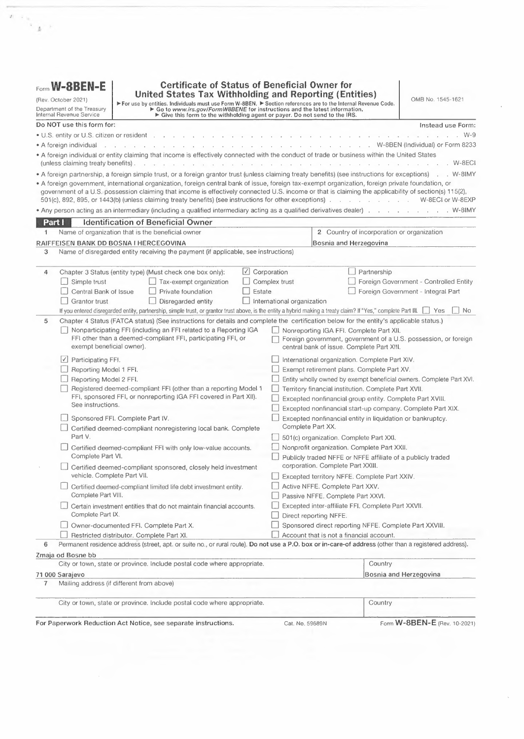## **Part XII** Nonreporting IGA FFI

26 **O** I certify that the entity identified in Part I:

• Meets the requirements to be considered <sup>a</sup> nonreporting financial institution pursuant to an applicable IGA between the United States and . The applicable IGA is a  $\Box$  Model 1 IGA or a  $\Box$  Model 2 IGA; and is treated as <sup>a</sup> (if applicable, see instructions); under the provisions of the applicable IGA or Treasury regulations

• If you are <sup>a</sup> trustee documented trust or <sup>a</sup> sponsored entity, provide the name of the trustee or sponsor \_ The trustee is:  $\Box$  U.S.  $\Box$  Foreign

### **IEEEEUL] Foreign Government, Government of <sup>a</sup> u.s. Possession, or Foreign Central Bank of Issue**

27 **I** I certify that the entity identified in Part I is the beneficial owner of the payment, and is not engaged in commercial financial activities of a type engaged in by an insurance company, custodial institution, or depository institution with respect to the payments, accounts, or obligations for which this form is submitted (except as permitted in Regulations section 1.1471-6(h)(2)). **IERRY EVALUATE:** type engaged in by an insurance compositions for which this form is submit<br> **Part XIV** International Organization<br>
Check box 28a or 28b, whichever applies.

**Check box 28a or 28b, whichever applies.**

**28a J** I certify that the entity identified in Part I is an international organization described in section 7701(a)(18).

- **b**  $\Box$  I certify that the entity identified in Part I:
	- Is comprised primarily of foreign governments;

• Is recognized as an intergovernmental or supranational organization under <sup>a</sup> foreign law similar to the International Organizations Immunities Act or that has in effect <sup>a</sup> headquarters agreement with <sup>a</sup> foreign government;

• The benefit of the entity's income does not inure to any private person; **and**

• Is the beneficial owner of the payment and is not engaged in commercial financial activities of <sup>a</sup> type engaged in by an insurance company, custodial institution, or depository institution with respect to the payments, accounts, or obligations for which this form is submitted (except as permitted in Regulations section 1.1471-6(h)(2)).

#### **Liegist XV Exempt Retirement Plans**

Check box 29a, b, c, d, e, or f, whichever applies.

- 29a  $\Box$  I certify that the entity identified in Part I:
	- Is established in <sup>a</sup> country with which the United States has an income tax treaty in force (see Part Ill if claiming treaty benefits);
	- Is operated principally to administer or provide pension or retirement benefits; **and**

• Is entitled to treaty benefits on income that the fund derives from U.S. sources (or would be entitled to benefits if it derived any such income)

- as <sup>a</sup> resident of the other country which satisfies any applicable limitation on benefits requirement.
- **b**  $\Box$  I certify that the entity identified in Part I:

• Is organized for the provision of retirement, disability, or death benefits (or any combination thereof) to beneficiaries that are former employees of one or more employers in consideration for services rendered;

• No single beneficiary has <sup>a</sup> right to more than 5% of the FFl's assets;

• Is subject to government regulation and provides annual information reporting about its beneficiaries to the relevant tax authorities in the country in which the fund is established or operated; **and**

- (i) Is generally exempt from tax on investment income under the laws of the country in which it is established or operates due to its status as <sup>a</sup> retirement or pension plan;
- (ii) Receives at least 50% of its total contributions from sponsoring employers (disregarding transfers of assets from other plans described in this part, retirement and pension accounts described in an applicable Model <sup>1</sup> or Model <sup>2</sup> IGA, other retirement funds described in an applicable Model <sup>1</sup> or Model <sup>2</sup> 1GA, or accounts described in Regulations section 1.1471-5(b)(2)(i)(A));
- (iii) Either does not permit or penalizes distributions or withdrawals made before the occurrence of specified events related to retirement, disability, or death (except rollover distributions to accounts described in Regulations section 1.1471-5(b)(2)(i)(A) (referring to retirement and pension accounts), to retirement and pension accounts described in an applicable Model <sup>1</sup> or Model <sup>2</sup> 1GA, or to other retirement funds described in this part or in an applicable Model <sup>1</sup> or Model <sup>2</sup> IGA); **or**

**(iv)** Limits contributions by employees to the fund by reference to earned income of the employee or may not exceed \$50,000 annually.

 $\Box$  I certify that the entity identified in Part I:

• Is organized for the provision of retirement, disability, or death benefits (or any combination thereof) to beneficiaries that are former employees of one or more employers in consideration for services rendered;

- Has fewer than 50 participants;
- Is sponsored by one or more employers each of which is not an investment entity or passive NFFE;

• Employee and employer contributions to the fund (disregarding transfers of assets from other plans described in this part, retirement and pension accounts described in an applicable Model <sup>1</sup> or Model <sup>2</sup> IGA, or accounts described in Regulations section 1.1471-5(b)(2)(i)(A)) are limited by reference to earned income and compensation of the employee, respectively;

• Participants that are not residents of the country in which the fund is established or operated are not entitled to more than 20% of the fund's assets; and

• Is subject to government regulation and provides annual information reporting about its beneficiaries to the relevant tax authorities in the country in which the fund is established or operates.

Page 5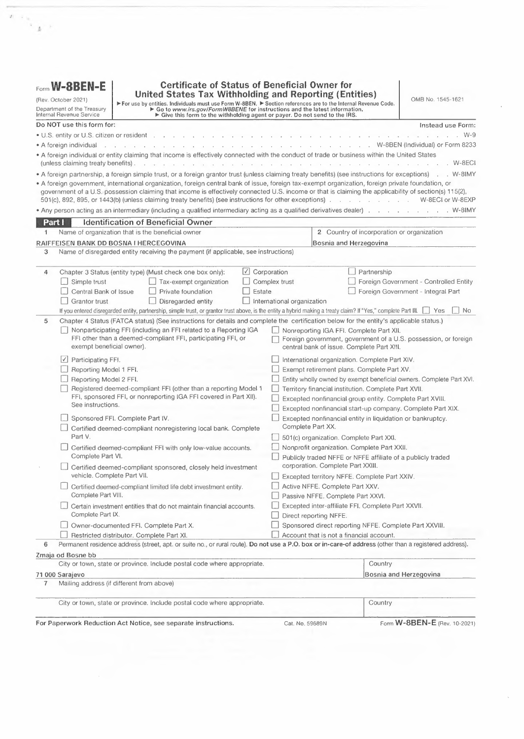| <b>Part XV</b>    | Form W-8BEN-E (Rev. 10-2021)<br><b>Exempt Retirement Plans (continued)</b> | Page 6                                                                                                                                                                                                                                                                                                                                                                                                                                           |
|-------------------|----------------------------------------------------------------------------|--------------------------------------------------------------------------------------------------------------------------------------------------------------------------------------------------------------------------------------------------------------------------------------------------------------------------------------------------------------------------------------------------------------------------------------------------|
| d                 |                                                                            | $\Box$ I certify that the entity identified in Part I is formed pursuant to a pension plan that would meet the requirements of section 401(a), other                                                                                                                                                                                                                                                                                             |
|                   |                                                                            | than the requirement that the plan be funded by a trust created or organized in the United States.                                                                                                                                                                                                                                                                                                                                               |
| е                 |                                                                            | I certify that the entity identified in Part I is established exclusively to earn income for the benefit of one or more retirement funds                                                                                                                                                                                                                                                                                                         |
|                   |                                                                            | described in this part or in an applicable Model 1 or Model 2 IGA, or accounts described in Regulations section 1.1471-5(b)(2)(i)(A) (referring to                                                                                                                                                                                                                                                                                               |
|                   |                                                                            | retirement and pension accounts), or retirement and pension accounts described in an applicable Model 1 or Model 2 IGA.                                                                                                                                                                                                                                                                                                                          |
| f.                | $\Box$ I certify that the entity identified in Part I:                     |                                                                                                                                                                                                                                                                                                                                                                                                                                                  |
|                   | designated by such employees); or                                          | • Is established and sponsored by a foreign government, international organization, central bank of issue, or government of a U.S. possession<br>(each as defined in Regulations section 1.1471-6) or an exempt beneficial owner described in an applicable Model 1 or Model 2 IGA to provide<br>retirement, disability, or death benefits to beneficiaries or participants that are current or former employees of the sponsor (or persons      |
|                   | consideration of personal services performed for the sponsor.              | • Is established and sponsored by a foreign government, international organization, central bank of issue, or government of a U.S. possession<br>(each as defined in Regulations section 1.1471-6) or an exempt beneficial owner described in an applicable Model 1 or Model 2 IGA to provide<br>retirement, disability, or death benefits to beneficiaries or participants that are not current or former employees of such sponsor, but are in |
| <b>Part XVI</b>   |                                                                            | <b>Entity Wholly Owned by Exempt Beneficial Owners</b>                                                                                                                                                                                                                                                                                                                                                                                           |
| 30                | $\Box$ I certify that the entity identified in Part I:                     |                                                                                                                                                                                                                                                                                                                                                                                                                                                  |
|                   | . Is an FFI solely because it is an investment entity;                     |                                                                                                                                                                                                                                                                                                                                                                                                                                                  |
|                   | an applicable Model 1 or Model 2 IGA;                                      | • Each direct holder of an equity interest in the investment entity is an exempt beneficial owner described in Regulations section 1.1471-6 or in                                                                                                                                                                                                                                                                                                |
|                   |                                                                            | . Each direct holder of a debt interest in the investment entity is either a depository institution (with respect to a loan made to such entity) or an<br>exempt beneficial owner described in Regulations section 1.1471-6 or an applicable Model 1 or Model 2 IGA.                                                                                                                                                                             |
|                   | interest in the entity; and                                                | • Has provided an owner reporting statement that contains the name, address, TIN (if any), chapter 4 status, and a description of the type of<br>documentation provided to the withholding agent for every person that owns a debt interest constituting a financial account or direct equity                                                                                                                                                    |
|                   |                                                                            | • Has provided documentation establishing that every owner of the entity is an entity described in Regulations section 1.1471-6(b), (c), (d), (e),<br>(f) and/or (g) without regard to whether such owners are beneficial owners.                                                                                                                                                                                                                |
| <b>Part XVII</b>  | <b>Territory Financial Institution</b>                                     |                                                                                                                                                                                                                                                                                                                                                                                                                                                  |
| 31                | the laws of a possession of the United States.                             | $\Box$ I certify that the entity identified in Part I is a financial institution (other than an investment entity) that is incorporated or organized under                                                                                                                                                                                                                                                                                       |
| <b>Part XVIII</b> | <b>Excepted Nonfinancial Group Entity</b>                                  |                                                                                                                                                                                                                                                                                                                                                                                                                                                  |
| 32                | $\Box$ I certify that the entity identified in Part I:                     |                                                                                                                                                                                                                                                                                                                                                                                                                                                  |
|                   | Regulations section 1.1471-5(e)(5)(i)(C) through (E);                      | • Is a holding company, treasury center, or captive finance company and substantially all of the entity's activities are functions described in                                                                                                                                                                                                                                                                                                  |
|                   |                                                                            | · Is a member of a nonfinancial group described in Regulations section 1.1471-5(e)(5)(i)(B);                                                                                                                                                                                                                                                                                                                                                     |
|                   |                                                                            | . Is not a depository or custodial institution (other than for members of the entity's expanded affiliated group); and                                                                                                                                                                                                                                                                                                                           |
|                   | investment purposes.                                                       | . Does not function (or hold itself out) as an investment fund, such as a private equity fund, venture capital fund, leveraged buyout fund, or any<br>investment vehicle with an investment strategy to acquire or fund companies and then hold interests in those companies as capital assets for                                                                                                                                               |
| <b>Part XIX</b>   |                                                                            | <b>Excepted Nonfinancial Start-Up Company</b>                                                                                                                                                                                                                                                                                                                                                                                                    |
| 33                | I certify that the entity identified in Part I:                            |                                                                                                                                                                                                                                                                                                                                                                                                                                                  |
|                   |                                                                            | • Was formed on (or, in the case of a new line of business, the date of board resolution approving the new line of business)                                                                                                                                                                                                                                                                                                                     |
|                   | (date must be less than 24 months prior to date of payment);               |                                                                                                                                                                                                                                                                                                                                                                                                                                                  |
|                   | business other than that of a financial institution or passive NFFE;       | • Is not yet operating a business and has no prior operating history or is investing capital in assets with the intent to operate a new line of                                                                                                                                                                                                                                                                                                  |
|                   |                                                                            | • Is investing capital into assets with the intent to operate a business other than that of a financial institution; and                                                                                                                                                                                                                                                                                                                         |
|                   |                                                                            | • Does not function (or hold itself out) as an investment fund, such as a private equity fund, venture capital fund, leveraged buyout fund, or any<br>investment vehicle whose purpose is to acquire or fund companies and then hold interests in those companies as capital assets for investment purposes.                                                                                                                                     |
| <b>Part XX</b>    |                                                                            | <b>Excepted Nonfinancial Entity in Liquidation or Bankruptcy</b>                                                                                                                                                                                                                                                                                                                                                                                 |
| 34                | $\Box$ I certify that the entity identified in Part I:                     | • Filed a plan of liquidation, filed a plan of reorganization, or filed for bankruptcy on                                                                                                                                                                                                                                                                                                                                                        |
|                   |                                                                            | • During the past 5 years has not been engaged in business as a financial institution or acted as a passive NFFE;                                                                                                                                                                                                                                                                                                                                |
|                   | entity; and                                                                | • Is either liquidating or emerging from a reorganization or bankruptcy with the intent to continue or recommence operations as a nonfinancial                                                                                                                                                                                                                                                                                                   |
|                   | bankruptcy or liquidation for more than 3 years.                           | • Has, or will provide, documentary evidence such as a bankruptcy filing or other public documentation that supports its claim if it remains in                                                                                                                                                                                                                                                                                                  |

 $\sim$  $\mathcal{A}^{\text{in}}(\mathcal{A})$ 

 $\mathcal{F}=\left\langle \mathcal{F}\right\rangle$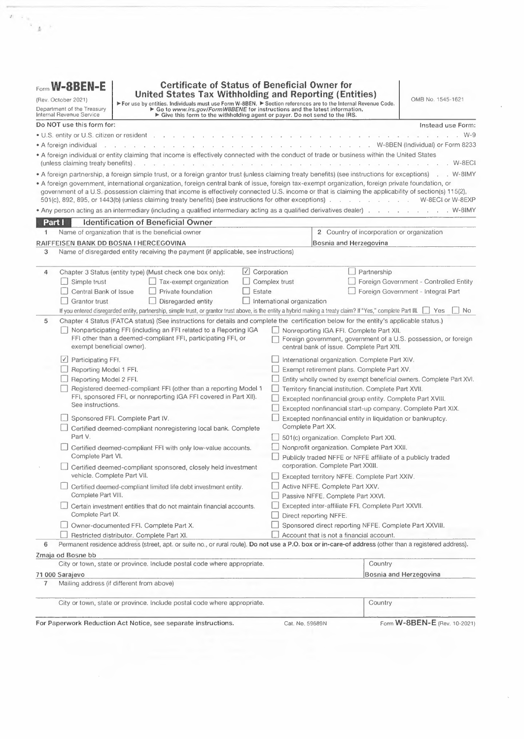# **Part XXI** 501(c) Organization<br>35 **Legending** Legending that the entity identifies

□ I certify that the entity identified in Part I is a 501(c) organization that:

• Has been issued a determination letter from the IRS that is currently in effect concluding that the payee is a section 501(c) organization that is dated

dated,**or** • Has provided <sup>a</sup> copy of an opinion from U.S. counsel certifying that the payee is <sup>a</sup> section 501(c) organization {without regard to whether the payee is <sup>a</sup> foreign private foundation).

# **[Part XXII | Nonprofit Organization**<br>**[36 h**] Leertify that the entity identified in **1**

**<sup>36</sup>** O <sup>I</sup> certify that the entity identified in Part <sup>I</sup> is <sup>a</sup> nonprofit organization that meets the following requirements.

- The entity is established and maintained in its country of residence exclusively for religious, charitable, scientific, artistic, cultural or educational purposes;
- The entity is exempt from income tax in its country of residence;
- The entity has no shareholders or members who have <sup>a</sup> proprietary or beneficial interest in its income or assets;

• Neither the applicable laws of the entity's country of residence nor the entity's formation documents permit any income or assets of the entity to be distributed to, or applied for the benefit of, <sup>a</sup> private person or noncharitable entity other than pursuant to the conduct of the entity's charitable activities or as payment of reasonable compensation for services rendered or payment representing the fair market value of property which the entity has purchased; **and**

• The applicable laws of the entity's country of residence or the entity's formation documents require that, upon the entity's liquidation or dissolution, all of its assets be distributed to an entity that is <sup>a</sup> foreign government, an integral part of <sup>a</sup> foreign government, <sup>a</sup> controlled entity of <sup>a</sup> foreign government, or another organization that is described in this part or escheats to the government of the entity's country of residence or any political subdivision thereof.

### **EE;I Publicly Traded NFFE or NFFE Affiliate of <sup>a</sup> Publicly Traded Corporation**

**Check box 37a or 37b, whichever applies.**

**37a** □ I certify that:

- The entity identified in Part <sup>I</sup> is <sup>a</sup> foreign corporation that is not <sup>a</sup> financial institution; **and**
- The stock of such corporation is regularly traded on one or more established securities markets, including \_
- {name one securities exchange upon which the stock is regularly traded).
- $\Box$  I certify that:
	- The entity identified in Part <sup>I</sup> is <sup>a</sup> foreign corporation that is not <sup>a</sup> financial institution;

• The entity identified in Part <sup>I</sup> is <sup>a</sup> member of the same expanded affiliated group as an entity the stock of which is regularly traded on an established securities market;

• The name of the entity, the stock of which is regularly traded on an established securities market, is **\_\_\_\_\_\_\_\_\_\_\_\_\_;and**

• The name of the securities market on which the stock is regularly traded is -------------------------

# **Excepted Territory NFFE**<br>**88 • El Lectify that:**

- $\Box$  I certify that:
- The entity identified in Part <sup>I</sup> is an entity that is organized in <sup>a</sup> possession of the United States;
- The entity identified in Part I:
	- {i) Does not accept deposits in the ordinary course of <sup>a</sup> banking or similar business;
	- {ii) Does not hold, as <sup>a</sup> substantial portion of its business, financial assets for the account of others; or
	- {iii) Is not an insurance company {or the holding company of an insurance company) that issues or is obligated to make payments with respect to <sup>a</sup> financial account; and
- All of the owners of the entity identified in Part <sup>I</sup> are bona fide residents of the possession in which the NFFE is organized or incorporated.

## **Part XXV** Active NFFE

 $\Box$  I certify that:

- The entity identified in Part <sup>I</sup> is <sup>a</sup> foreign entity that is not <sup>a</sup> financial institution;
- Less than 50% of such entity's gross income for the preceding calendar year is passive income; and

• Less than 50% of the assets held by such entity are assets that produce or are held for the production of passive income {calculated as <sup>a</sup> weighted average of the percentage of passive assets measured quarterly) (see instructions for the definition of passive income).

#### **Part XXVI** Passive NFFE

40a  $\Box$  I certify that the entity identified in Part I is a foreign entity that is not a financial institution (other than an investment entity organized in a possession of the United States) and is not certifying its status as a publicly traded NFFE (or affiliate), excepted territory NFFE, active NFFE, direct reporting NFFE, or sponsored direct reporting NFFE.

### Check box 40b or 40c, whichever applies.

- <sup>b</sup> [\_] lfurther certify that the entity identified in Part lhas no substantial U.S, owners (or, if applicable, no controlling U.S. persons); or
- c  $\Box$  I further certify that the entity identified in Part I has provided the name, address, and TIN of each substantial U.S. owner (or, if applicable, controlling U.S. person) of the NFFE in Part XXIX.

Page **7**